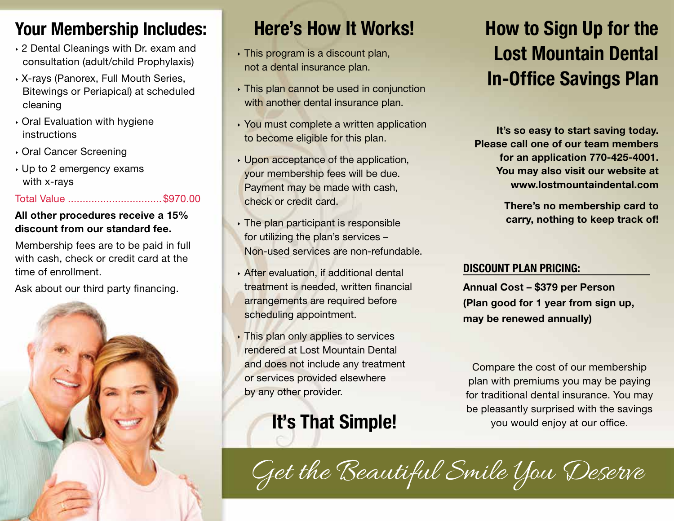### Your Membership Includes:

- ‣ 2 Dental Cleanings with Dr. exam and consultation (adult/child Prophylaxis)
- ‣ X-rays (Panorex, Full Mouth Series, Bitewings or Periapical) at scheduled cleaning
- ‣ Oral Evaluation with hygiene instructions
- ‣ Oral Cancer Screening
- ‣ Up to 2 emergency exams with x-rays

#### Total Value ................................\$970.00

#### All other procedures receive a 15% discount from our standard fee.

Membership fees are to be paid in full with cash, check or credit card at the time of enrollment.

Ask about our third party financing.



## Here's How It Works!

- ‣ This program is a discount plan, not a dental insurance plan.
- ‣ This plan cannot be used in conjunction with another dental insurance plan.
- ‣ You must complete a written application to become eligible for this plan.
- ‣ Upon acceptance of the application, your membership fees will be due. Payment may be made with cash, check or credit card.
- **I** The plan participant is responsible for utilizing the plan's services – Non-used services are non-refundable.
- ‣ After evaluation, if additional dental treatment is needed, written financial arrangements are required before scheduling appointment.
- ‣ This plan only applies to services rendered at Lost Mountain Dental and does not include any treatment or services provided elsewhere by any other provider.

# It's That Simple!

## How to Sign Up for the Lost Mountain Dental In-Office Savings Plan

It's so easy to start saving today. Please call one of our team members for an application 770-425-4001. You may also visit our website at www.lostmountaindental.com

> There's no membership card to carry, nothing to keep track of!

#### DISCOUNT PLAN PRICING:

Annual Cost – \$379 per Person (Plan good for 1 year from sign up, may be renewed annually)

Compare the cost of our membership plan with premiums you may be paying for traditional dental insurance. You may be pleasantly surprised with the savings you would enjoy at our office.

Get the Beautiful Smile You Deserve